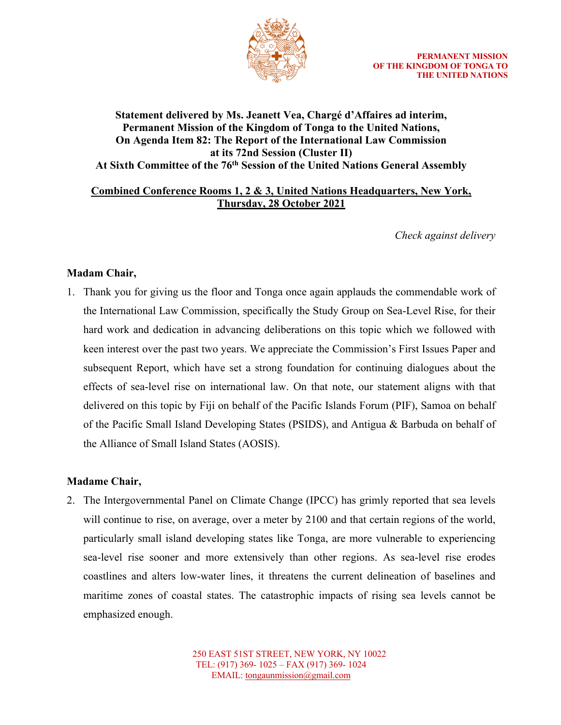

# **Statement delivered by Ms. Jeanett Vea, Chargé d'Affaires ad interim, Permanent Mission of the Kingdom of Tonga to the United Nations, On Agenda Item 82: The Report of the International Law Commission at its 72nd Session (Cluster II) At Sixth Committee of the 76th Session of the United Nations General Assembly**

# **Combined Conference Rooms 1, 2 & 3, United Nations Headquarters, New York, Thursday, 28 October 2021**

*Check against delivery*

# **Madam Chair,**

1. Thank you for giving us the floor and Tonga once again applauds the commendable work of the International Law Commission, specifically the Study Group on Sea-Level Rise, for their hard work and dedication in advancing deliberations on this topic which we followed with keen interest over the past two years. We appreciate the Commission's First Issues Paper and subsequent Report, which have set a strong foundation for continuing dialogues about the effects of sea-level rise on international law. On that note, our statement aligns with that delivered on this topic by Fiji on behalf of the Pacific Islands Forum (PIF), Samoa on behalf of the Pacific Small Island Developing States (PSIDS), and Antigua & Barbuda on behalf of the Alliance of Small Island States (AOSIS).

# **Madame Chair,**

2. The Intergovernmental Panel on Climate Change (IPCC) has grimly reported that sea levels will continue to rise, on average, over a meter by 2100 and that certain regions of the world, particularly small island developing states like Tonga, are more vulnerable to experiencing sea-level rise sooner and more extensively than other regions. As sea-level rise erodes coastlines and alters low-water lines, it threatens the current delineation of baselines and maritime zones of coastal states. The catastrophic impacts of rising sea levels cannot be emphasized enough.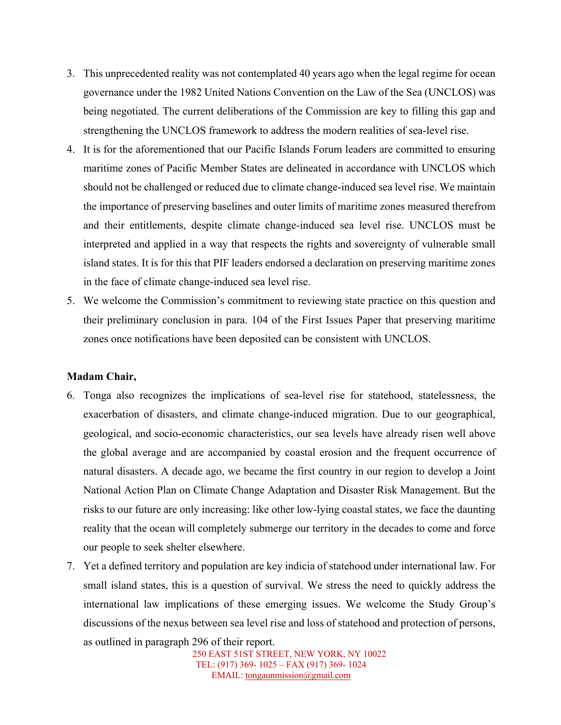- 3. This unprecedented reality was not contemplated 40 years ago when the legal regime for ocean governance under the 1982 United Nations Convention on the Law of the Sea (UNCLOS) was being negotiated. The current deliberations of the Commission are key to filling this gap and strengthening the UNCLOS framework to address the modern realities of sea-level rise.
- 4. It is for the aforementioned that our Pacific Islands Forum leaders are committed to ensuring maritime zones of Pacific Member States are delineated in accordance with UNCLOS which should not be challenged or reduced due to climate change-induced sea level rise. We maintain the importance of preserving baselines and outer limits of maritime zones measured therefrom and their entitlements, despite climate change-induced sea level rise. UNCLOS must be interpreted and applied in a way that respects the rights and sovereignty of vulnerable small island states. It is for this that PIF leaders endorsed a declaration on preserving maritime zones in the face of climate change-induced sea level rise.
- 5. We welcome the Commission's commitment to reviewing state practice on this question and their preliminary conclusion in para. 104 of the First Issues Paper that preserving maritime zones once notifications have been deposited can be consistent with UNCLOS.

#### **Madam Chair,**

- 6. Tonga also recognizes the implications of sea-level rise for statehood, statelessness, the exacerbation of disasters, and climate change-induced migration. Due to our geographical, geological, and socio-economic characteristics, our sea levels have already risen well above the global average and are accompanied by coastal erosion and the frequent occurrence of natural disasters. A decade ago, we became the first country in our region to develop a Joint National Action Plan on Climate Change Adaptation and Disaster Risk Management. But the risks to our future are only increasing: like other low-lying coastal states, we face the daunting reality that the ocean will completely submerge our territory in the decades to come and force our people to seek shelter elsewhere.
- 7. Yet a defined territory and population are key indicia of statehood under international law. For small island states, this is a question of survival. We stress the need to quickly address the international law implications of these emerging issues. We welcome the Study Group's discussions of the nexus between sea level rise and loss of statehood and protection of persons, as outlined in paragraph 296 of their report.